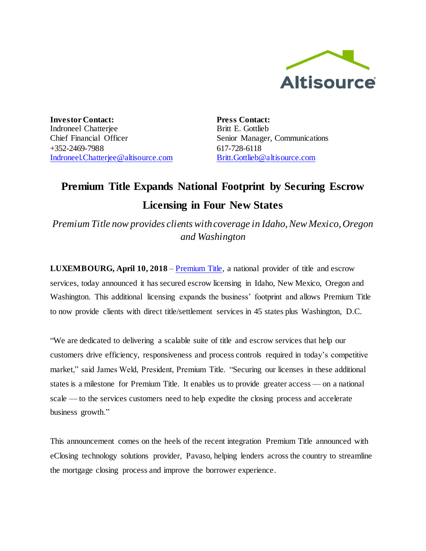

**Investor Contact:** Indroneel Chatterjee Chief Financial Officer +352-2469-7988 [Indroneel.Chatterjee@altisource.com](mailto:Indroneel.Chatterjee@altisource.com) **Press Contact:** Britt E. Gottlieb Senior Manager, Communications 617-728-6118 [Britt.Gottlieb@altisource.com](mailto:Britt.Gottlieb@altisource.com)

## **Premium Title Expands National Footprint by Securing Escrow Licensing in Four New States**

*Premium Title now provides clients with coverage in Idaho, New Mexico, Oregon and Washington* 

**LUXEMBOURG, April 10, 2018** – [Premium Title,](http://www.mypremiumtitle.com/?utm_campaign=premiumtitleexpandsfootprint&utm_source=PR&utm_medium=PR&utm_content=first) a national provider of title and escrow services, today announced it has secured escrow licensing in Idaho, New Mexico, Oregon and Washington. This additional licensing expands the business' footprint and allows Premium Title to now provide clients with direct title/settlement services in 45 states plus Washington, D.C.

"We are dedicated to delivering a scalable suite of title and escrow services that help our customers drive efficiency, responsiveness and process controls required in today's competitive market," said James Weld, President, Premium Title. "Securing our licenses in these additional states is a milestone for Premium Title. It enables us to provide greater access — on a national scale — to the services customers need to help expedite the closing process and accelerate business growth."

This announcement comes on the heels of the recent integration Premium Title announced with eClosing technology solutions provider, Pavaso, helping lenders across the country to streamline the mortgage closing process and improve the borrower experience.